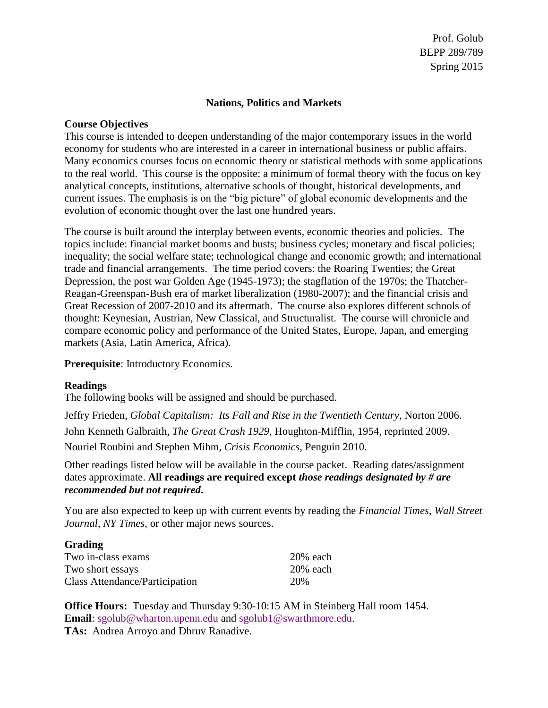# **Nations, Politics and Markets**

# **Course Objectives**

This course is intended to deepen understanding of the major contemporary issues in the world economy for students who are interested in a career in international business or public affairs. Many economics courses focus on economic theory or statistical methods with some applications to the real world. This course is the opposite: a minimum of formal theory with the focus on key analytical concepts, institutions, alternative schools of thought, historical developments, and current issues. The emphasis is on the "big picture" of global economic developments and the evolution of economic thought over the last one hundred years.

The course is built around the interplay between events, economic theories and policies. The topics include: financial market booms and busts; business cycles; monetary and fiscal policies; inequality; the social welfare state; technological change and economic growth; and international trade and financial arrangements. The time period covers: the Roaring Twenties; the Great Depression, the post war Golden Age (1945-1973); the stagflation of the 1970s; the Thatcher-Reagan-Greenspan-Bush era of market liberalization (1980-2007); and the financial crisis and Great Recession of 2007-2010 and its aftermath. The course also explores different schools of thought: Keynesian, Austrian, New Classical, and Structuralist. The course will chronicle and compare economic policy and performance of the United States, Europe, Japan, and emerging markets (Asia, Latin America, Africa).

**Prerequisite**: Introductory Economics.

# **Readings**

The following books will be assigned and should be purchased.

Jeffry Frieden, *Global Capitalism: Its Fall and Rise in the Twentieth Century*, Norton 2006. John Kenneth Galbraith, *The Great Crash 1929*, Houghton-Mifflin, 1954, reprinted 2009. Nouriel Roubini and Stephen Mihm, *Crisis Economics*, Penguin 2010.

Other readings listed below will be available in the course packet. Reading dates/assignment dates approximate. **All readings are required except** *those readings designated by # are recommended but not required***.**

You are also expected to keep up with current events by reading the *Financial Times*, *Wall Street Journal*, *NY Times*, or other major news sources.

| <b>Grading</b>                 |             |
|--------------------------------|-------------|
| Two in-class exams             | $20\%$ each |
| Two short essays               | $20%$ each  |
| Class Attendance/Participation | 20%         |

**Office Hours:** Tuesday and Thursday 9:30-10:15 AM in Steinberg Hall room 1454. **Email**: [sgolub@wharton.upenn.edu](mailto:sgolub@wharton.upenn.edu) and [sgolub1@swarthmore.edu.](mailto:sgolub1@swarthmore.edu) **TAs:** Andrea Arroyo and Dhruv Ranadive.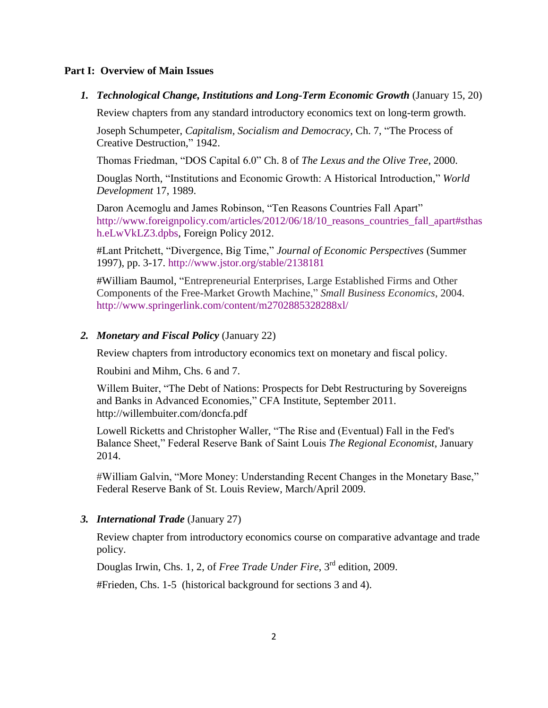# **Part I: Overview of Main Issues**

#### *1. Technological Change, Institutions and Long-Term Economic Growth* (January 15, 20)

Review chapters from any standard introductory economics text on long-term growth.

Joseph Schumpeter, *Capitalism, Socialism and Democracy*, Ch. 7, "The Process of Creative Destruction," 1942.

Thomas Friedman, "DOS Capital 6.0" Ch. 8 of *The Lexus and the Olive Tree*, 2000.

Douglas North, "Institutions and Economic Growth: A Historical Introduction," *World Development* 17, 1989.

Daron Acemoglu and James Robinson, "Ten Reasons Countries Fall Apart" [http://www.foreignpolicy.com/articles/2012/06/18/10\\_reasons\\_countries\\_fall\\_apart#sthas](http://www.foreignpolicy.com/articles/2012/06/18/10_reasons_countries_fall_apart#sthash.eLwVkLZ3.dpbs) [h.eLwVkLZ3.dpbs,](http://www.foreignpolicy.com/articles/2012/06/18/10_reasons_countries_fall_apart#sthash.eLwVkLZ3.dpbs) Foreign Policy 2012.

#Lant Pritchett, "Divergence, Big Time," *Journal of Economic Perspectives* (Summer 1997), pp. 3-17.<http://www.jstor.org/stable/2138181>

#William Baumol, "Entrepreneurial Enterprises, Large Established Firms and Other Components of the Free-Market Growth Machine," *Small Business Economics*, 2004. <http://www.springerlink.com/content/m2702885328288xl/>

### *2. Monetary and Fiscal Policy* (January 22)

Review chapters from introductory economics text on monetary and fiscal policy.

Roubini and Mihm, Chs. 6 and 7.

Willem Buiter, "The Debt of Nations: Prospects for Debt Restructuring by Sovereigns and Banks in Advanced Economies," CFA Institute, September 2011. http://willembuiter.com/doncfa.pdf

Lowell Ricketts and Christopher Waller, "The Rise and (Eventual) Fall in the Fed's Balance Sheet," Federal Reserve Bank of Saint Louis *The Regional Economist*, January 2014.

#William Galvin, "More Money: Understanding Recent Changes in the Monetary Base," Federal Reserve Bank of St. Louis Review, March/April 2009.

#### *3. International Trade* (January 27)

Review chapter from introductory economics course on comparative advantage and trade policy.

Douglas Irwin, Chs. 1, 2, of *Free Trade Under Fire*, 3rd edition, 2009.

#Frieden, Chs. 1-5 (historical background for sections 3 and 4).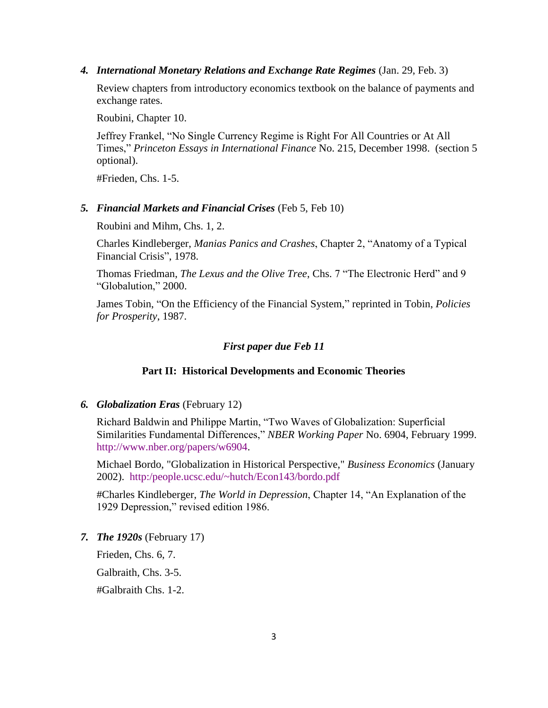*4. International Monetary Relations and Exchange Rate Regimes* (Jan. 29, Feb. 3)

Review chapters from introductory economics textbook on the balance of payments and exchange rates.

Roubini, Chapter 10.

Jeffrey Frankel, "No Single Currency Regime is Right For All Countries or At All Times," *Princeton Essays in International Finance* No. 215, December 1998. (section 5 optional).

#Frieden, Chs. 1-5.

# *5. Financial Markets and Financial Crises* (Feb 5, Feb 10)

Roubini and Mihm, Chs. 1, 2.

Charles Kindleberger, *Manias Panics and Crashes*, Chapter 2, "Anatomy of a Typical Financial Crisis", 1978.

Thomas Friedman, *The Lexus and the Olive Tree*, Chs. 7 "The Electronic Herd" and 9 "Globalution," 2000.

James Tobin, "On the Efficiency of the Financial System," reprinted in Tobin, *Policies for Prosperity*, 1987.

### *First paper due Feb 11*

### **Part II: Historical Developments and Economic Theories**

### *6. Globalization Eras* (February 12)

Richard Baldwin and Philippe Martin, "Two Waves of Globalization: Superficial Similarities Fundamental Differences," *NBER Working Paper* No. 6904, February 1999. [http://www.nber.org/papers/w6904.](http://www.nber.org/papers/w6904)

Michael Bordo, "Globalization in Historical Perspective," *Business Economics* (January 2002). [http:/people.ucsc.edu/~hutch/Econ143/bordo.pdf](http://people.ucsc.edu/~hutch/Econ143/bordo.pdf)

#Charles Kindleberger, *The World in Depression*, Chapter 14, "An Explanation of the 1929 Depression," revised edition 1986.

*7. The 1920s* (February 17)

Frieden, Chs. 6, 7.

Galbraith, Chs. 3-5.

#Galbraith Chs. 1-2.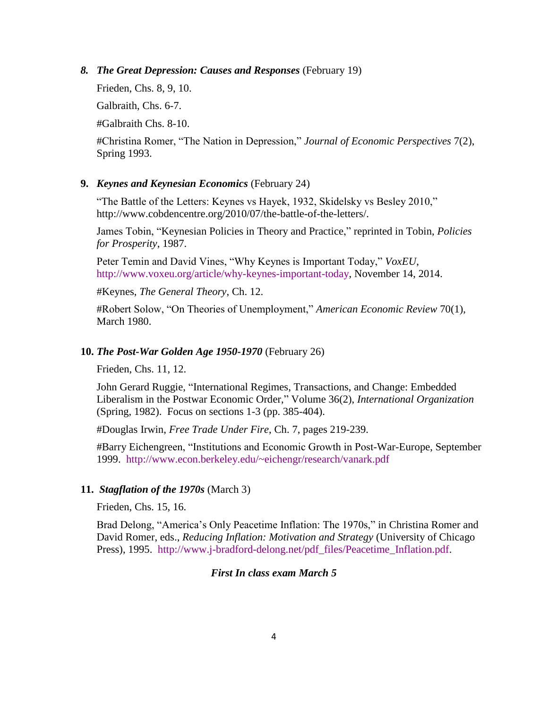*8. The Great Depression: Causes and Responses* (February 19)

Frieden, Chs. 8, 9, 10.

Galbraith, Chs. 6-7.

#Galbraith Chs. 8-10.

#Christina Romer, "The Nation in Depression," *Journal of Economic Perspectives* 7(2), Spring 1993.

# **9.** *Keynes and Keynesian Economics* (February 24)

"The Battle of the Letters: Keynes vs Hayek, 1932, Skidelsky vs Besley 2010," http://www.cobdencentre.org/2010/07/the-battle-of-the-letters/.

James Tobin, "Keynesian Policies in Theory and Practice," reprinted in Tobin, *Policies for Prosperity*, 1987.

Peter Temin and David Vines, "Why Keynes is Important Today," *VoxEU*, [http://www.voxeu.org/article/why-keynes-important-today,](http://www.voxeu.org/article/why-keynes-important-today) November 14, 2014.

#Keynes, *The General Theory*, Ch. 12.

#Robert Solow, "On Theories of Unemployment," *American Economic Review* 70(1), March 1980.

### **10.** *The Post-War Golden Age 1950-1970* (February 26)

Frieden, Chs. 11, 12.

John Gerard Ruggie, "International Regimes, Transactions, and Change: Embedded Liberalism in the Postwar Economic Order," Volume 36(2), *International Organization* (Spring, 1982). Focus on sections 1-3 (pp. 385-404).

#Douglas Irwin, *Free Trade Under Fire*, Ch. 7, pages 219-239.

#Barry Eichengreen, "Institutions and Economic Growth in Post-War-Europe, September 1999. <http://www.econ.berkeley.edu/~eichengr/research/vanark.pdf>

#### **11.** *Stagflation of the 1970s* (March 3)

Frieden, Chs. 15, 16.

Brad Delong, "America's Only Peacetime Inflation: The 1970s," in Christina Romer and David Romer, eds., *Reducing Inflation: Motivation and Strategy* (University of Chicago Press), 1995. [http://www.j-bradford-delong.net/pdf\\_files/Peacetime\\_Inflation.pdf.](http://www.j-bradford-delong.net/pdf_files/Peacetime_Inflation.pdf)

# *First In class exam March 5*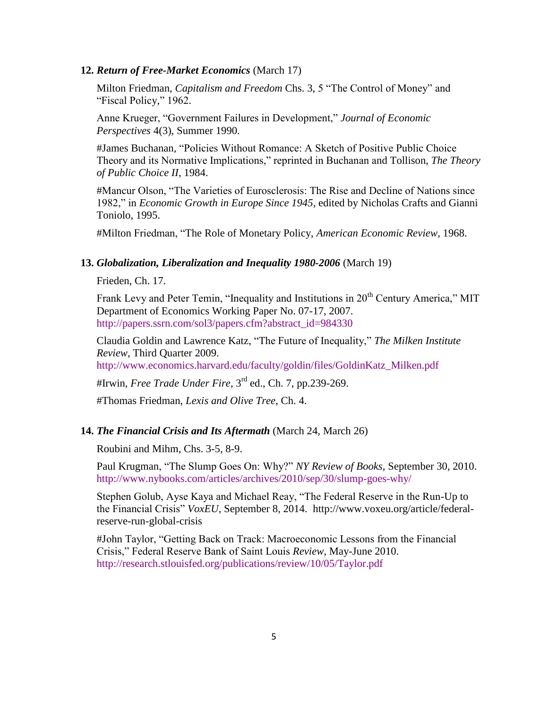### **12.** *Return of Free-Market Economics* (March 17)

Milton Friedman, *Capitalism and Freedom* Chs. 3, 5 "The Control of Money" and "Fiscal Policy," 1962.

Anne Krueger, "Government Failures in Development," *Journal of Economic Perspectives* 4(3), Summer 1990.

#James Buchanan, "Policies Without Romance: A Sketch of Positive Public Choice Theory and its Normative Implications," reprinted in Buchanan and Tollison, *The Theory of Public Choice II*, 1984.

#Mancur Olson, "The Varieties of Eurosclerosis: The Rise and Decline of Nations since 1982," in *Economic Growth in Europe Since 1945*, edited by Nicholas Crafts and Gianni Toniolo, 1995.

#Milton Friedman, "The Role of Monetary Policy, *American Economic Review*, 1968.

#### **13.** *Globalization, Liberalization and Inequality 1980-2006* (March 19)

Frieden, Ch. 17.

Frank Levy and Peter Temin, "Inequality and Institutions in 20<sup>th</sup> Century America." MIT Department of Economics Working Paper No. 07-17, 2007. [http://papers.ssrn.com/sol3/papers.cfm?abstract\\_id=984330](http://papers.ssrn.com/sol3/papers.cfm?abstract_id=984330)

Claudia Goldin and Lawrence Katz, "The Future of Inequality," *The Milken Institute Review*, Third Quarter 2009.

[http://www.economics.harvard.edu/faculty/goldin/files/GoldinKatz\\_Milken.pdf](http://www.economics.harvard.edu/faculty/goldin/files/GoldinKatz_Milken.pdf)

#Irwin, *Free Trade Under Fire*, 3rd ed., Ch. 7, pp.239-269.

#Thomas Friedman, *Lexis and Olive Tree*, Ch. 4.

# **14.** *The Financial Crisis and Its Aftermath* (March 24, March 26)

Roubini and Mihm, Chs. 3-5, 8-9.

Paul Krugman, "The Slump Goes On: Why?" *NY Review of Books*, September 30, 2010. <http://www.nybooks.com/articles/archives/2010/sep/30/slump-goes-why/>

Stephen Golub, Ayse Kaya and Michael Reay, "The Federal Reserve in the Run-Up to the Financial Crisis" *VoxEU*, September 8, 2014. http://www.voxeu.org/article/federalreserve-run-global-crisis

#John Taylor, "Getting Back on Track: Macroeconomic Lessons from the Financial Crisis," Federal Reserve Bank of Saint Louis *Review*, May-June 2010. <http://research.stlouisfed.org/publications/review/10/05/Taylor.pdf>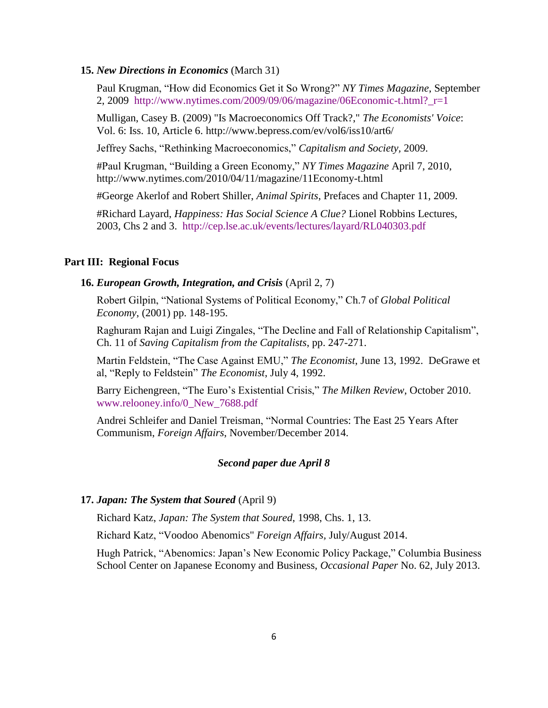#### **15.** *New Directions in Economics* (March 31)

Paul Krugman, "How did Economics Get it So Wrong?" *NY Times Magazine*, September 2, 2009 http://www.nytimes.com/2009/09/06/magazine/06Economic-t.html? $r=1$ 

Mulligan, Casey B. (2009) "Is Macroeconomics Off Track?," *The Economists' Voice*: Vol. 6: Iss. 10, Article 6. http://www.bepress.com/ev/vol6/iss10/art6/

Jeffrey Sachs, "Rethinking Macroeconomics," *Capitalism and Society,* 2009.

#Paul Krugman, "Building a Green Economy," *NY Times Magazine* April 7, 2010, http://www.nytimes.com/2010/04/11/magazine/11Economy-t.html

#George Akerlof and Robert Shiller, *Animal Spirits*, Prefaces and Chapter 11, 2009.

#Richard Layard, *Happiness: Has Social Science A Clue?* Lionel Robbins Lectures, 2003, Chs 2 and 3. <http://cep.lse.ac.uk/events/lectures/layard/RL040303.pdf>

### **Part III: Regional Focus**

# **16.** *European Growth, Integration, and Crisis* (April 2, 7)

Robert Gilpin, "National Systems of Political Economy," Ch.7 of *Global Political Economy*, (2001) pp. 148-195.

Raghuram Rajan and Luigi Zingales, "The Decline and Fall of Relationship Capitalism", Ch. 11 of *Saving Capitalism from the Capitalists*, pp. 247-271.

Martin Feldstein, "The Case Against EMU," *The Economist*, June 13, 1992. DeGrawe et al, "Reply to Feldstein" *The Economist*, July 4, 1992.

Barry Eichengreen, "The Euro's Existential Crisis," *The Milken Review*, October 2010. [www.relooney.info/0\\_New\\_7688.pdf](http://www.relooney.info/0_New_7688.pdf)

Andrei Schleifer and Daniel Treisman, "Normal Countries: The East 25 Years After Communism, *Foreign Affairs*, November/December 2014.

### *Second paper due April 8*

#### **17.** *Japan: The System that Soured* (April 9)

Richard Katz, *Japan: The System that Soured*, 1998, Chs. 1, 13.

Richard Katz, "Voodoo Abenomics" *Foreign Affairs,* July/August 2014.

Hugh Patrick, "Abenomics: Japan's New Economic Policy Package," Columbia Business School Center on Japanese Economy and Business, *Occasional Paper* No. 62, July 2013.